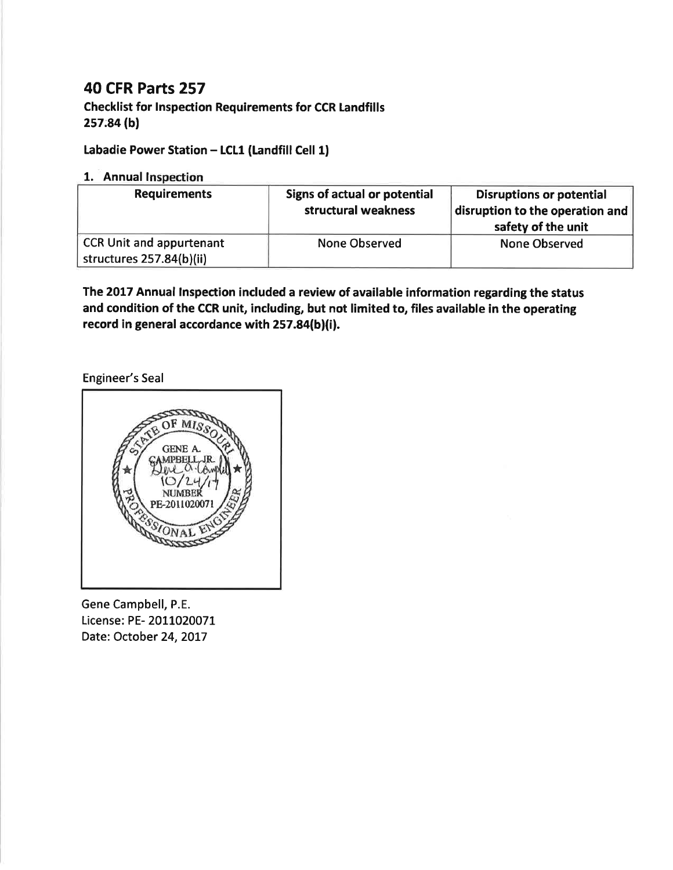# **40 CFR Parts 257**

**Checklist for Inspection Requirements for CCR Landfills** 257.84 (b)

## Labadie Power Station - LCL1 (Landfill Cell 1)

## 1. Annual Inspection

| <b>Requirements</b>                                         | <b>Signs of actual or potential</b><br>structural weakness | <b>Disruptions or potential</b><br>disruption to the operation and<br>safety of the unit |
|-------------------------------------------------------------|------------------------------------------------------------|------------------------------------------------------------------------------------------|
| <b>CCR Unit and appurtenant</b><br>structures 257.84(b)(ii) | <b>None Observed</b>                                       | None Observed                                                                            |

The 2017 Annual Inspection included a review of available information regarding the status and condition of the CCR unit, including, but not limited to, files available in the operating record in general accordance with 257.84(b)(i).

**Engineer's Seal** 



Gene Campbell, P.E. License: PE-2011020071 Date: October 24, 2017